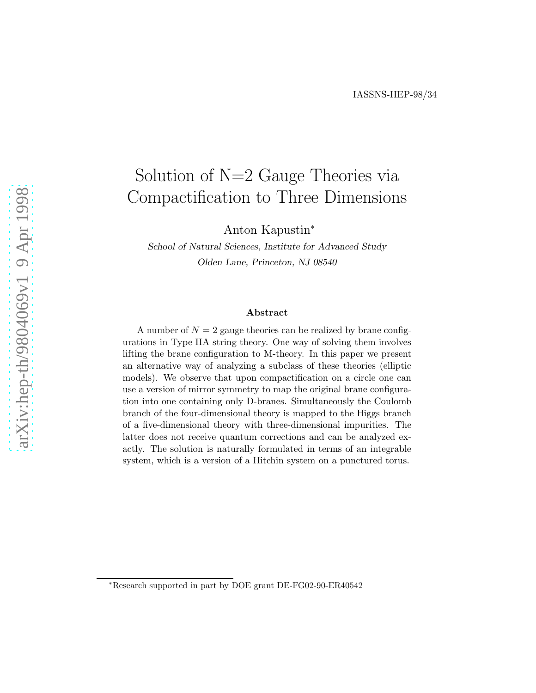# Solution of N=2 Gauge Theories via Compactification to Three Dimensions

Anton Kapustin<sup>∗</sup>

School of Natural Sciences, Institute for Advanced Study Olden Lane, Princeton, NJ 08540

#### Abstract

A number of  $N = 2$  gauge theories can be realized by brane configurations in Type IIA string theory. One way of solving them involves lifting the brane configuration to M-theory. In this paper we present an alternative way of analyzing a subclass of these theories (elliptic models). We observe that upon compactification on a circle one can use a version of mirror symmetry to map the original brane configuration into one containing only D-branes. Simultaneously the Coulomb branch of the four-dimensional theory is mapped to the Higgs branch of a five-dimensional theory with three-dimensional impurities. The latter does not receive quantum corrections and can be analyzed exactly. The solution is naturally formulated in terms of an integrable system, which is a version of a Hitchin system on a punctured torus.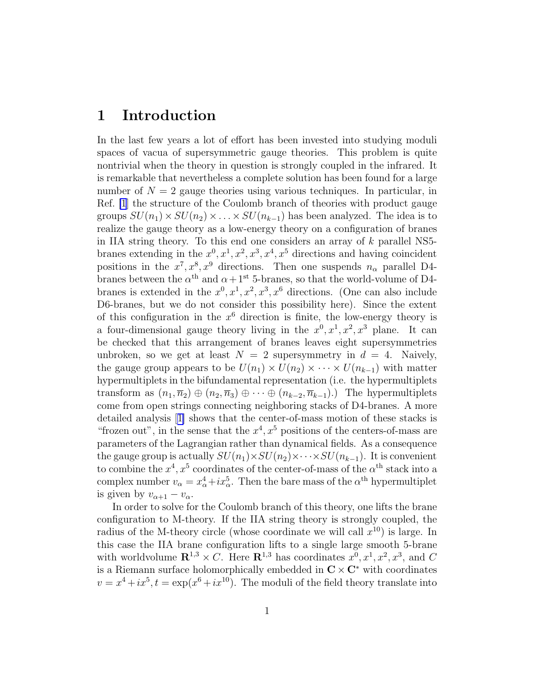## 1 Introduction

In the last few years a lot of effort has been invested into studying moduli spaces of vacua of supersymmetric gauge theories. This problem is quite nontrivial when the theory in question is strongly coupled in the infrared. It is remarkable that nevertheless a complete solution has been found for a large number of  $N = 2$  gauge theories using various techniques. In particular, in Ref. [\[1](#page-18-0)] the structure of the Coulomb branch of theories with product gauge groups  $SU(n_1) \times SU(n_2) \times \ldots \times SU(n_{k-1})$  has been analyzed. The idea is to realize the gauge theory as a low-energy theory on a configuration of branes in IIA string theory. To this end one considers an array of  $k$  parallel NS5branes extending in the  $x^0, x^1, x^2, x^3, x^4, x^5$  directions and having coincident positions in the  $x^7, x^8, x^9$  directions. Then one suspends  $n_\alpha$  parallel D4branes between the  $\alpha^{\text{th}}$  and  $\alpha+1^{\text{st}}$  5-branes, so that the world-volume of D4branes is extended in the  $x^0, x^1, x^2, x^3, x^6$  directions. (One can also include D6-branes, but we do not consider this possibility here). Since the extent of this configuration in the  $x^6$  direction is finite, the low-energy theory is a four-dimensional gauge theory living in the  $x^0, x^1, x^2, x^3$  plane. It can be checked that this arrangement of branes leaves eight supersymmetries unbroken, so we get at least  $N = 2$  supersymmetry in  $d = 4$ . Naively, the gauge group appears to be  $U(n_1) \times U(n_2) \times \cdots \times U(n_{k-1})$  with matter hypermultiplets in the bifundamental representation (i.e. the hypermultiplets transform as  $(n_1, \overline{n}_2) \oplus (n_2, \overline{n}_3) \oplus \cdots \oplus (n_{k-2}, \overline{n}_{k-1})$ . The hypermultiplets come from open strings connecting neighboring stacks of D4-branes. A more detailed analysis[[1\]](#page-18-0) shows that the center-of-mass motion of these stacks is "frozen out", in the sense that the  $x^4$ ,  $x^5$  positions of the centers-of-mass are parameters of the Lagrangian rather than dynamical fields. As a consequence the gauge group is actually  $SU(n_1) \times SU(n_2) \times \cdots \times SU(n_{k-1})$ . It is convenient to combine the  $x^4, x^5$  coordinates of the center-of-mass of the  $\alpha^{\text{th}}$  stack into a complex number  $v_{\alpha} = x_{\alpha}^4 + ix_{\alpha}^5$ . Then the bare mass of the  $\alpha^{\text{th}}$  hypermultiplet is given by  $v_{\alpha+1} - v_{\alpha}$ .

In order to solve for the Coulomb branch of this theory, one lifts the brane configuration to M-theory. If the IIA string theory is strongly coupled, the radius of the M-theory circle (whose coordinate we will call  $x^{10}$ ) is large. In this case the IIA brane configuration lifts to a single large smooth 5-brane with worldvolume  $\mathbb{R}^{1,3} \times C$ . Here  $\mathbb{R}^{1,3}$  has coordinates  $x^0, x^1, x^2, x^3$ , and C is a Riemann surface holomorphically embedded in  $C \times C^*$  with coordinates  $v = x^4 + ix^5, t = \exp(x^6 + ix^{10})$ . The moduli of the field theory translate into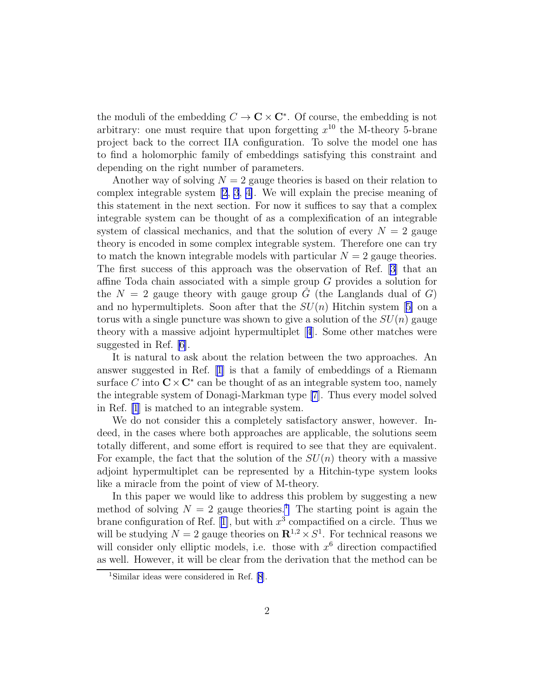the moduli of the embedding  $C \to \mathbb{C} \times \mathbb{C}^*$ . Of course, the embedding is not arbitrary: one must require that upon forgetting  $x^{10}$  the M-theory 5-brane project back to the correct IIA configuration. To solve the model one has to find a holomorphic family of embeddings satisfying this constraint and depending on the right number of parameters.

Another way of solving  $N = 2$  gauge theories is based on their relation to complex integrable system [\[2](#page-18-0), [3](#page-18-0), [4\]](#page-18-0). We will explain the precise meaning of this statement in the next section. For now it suffices to say that a complex integrable system can be thought of as a complexification of an integrable system of classical mechanics, and that the solution of every  $N = 2$  gauge theory is encoded in some complex integrable system. Therefore one can try to match the known integrable models with particular  $N = 2$  gauge theories. The first success of this approach was the observation of Ref. [\[3\]](#page-18-0) that an affine Toda chain associated with a simple group G provides a solution for the  $N = 2$  gauge theory with gauge group  $\tilde{G}$  (the Langlands dual of G) andno hypermultiplets. Soon after that the  $SU(n)$  Hitchin system [[5\]](#page-18-0) on a torus with a single puncture was shown to give a solution of the  $SU(n)$  gauge theory with a massive adjoint hypermultiplet[[4](#page-18-0)]. Some other matches were suggested in Ref. [\[6\]](#page-18-0).

It is natural to ask about the relation between the two approaches. An answer suggested in Ref. [\[1](#page-18-0)] is that a family of embeddings of a Riemann surface C into  $C \times C^*$  can be thought of as an integrable system too, namely the integrable system of Donagi-Markman type [\[7\]](#page-18-0). Thus every model solved in Ref. [\[1](#page-18-0)] is matched to an integrable system.

We do not consider this a completely satisfactory answer, however. Indeed, in the cases where both approaches are applicable, the solutions seem totally different, and some effort is required to see that they are equivalent. For example, the fact that the solution of the  $SU(n)$  theory with a massive adjoint hypermultiplet can be represented by a Hitchin-type system looks like a miracle from the point of view of M-theory.

In this paper we would like to address this problem by suggesting a new method of solving  $N = 2$  gauge theories.<sup>1</sup> The starting point is again the braneconfiguration of Ref. [[1\]](#page-18-0), but with  $x^3$  compactified on a circle. Thus we will be studying  $N = 2$  gauge theories on  $\mathbb{R}^{1,2} \times S^1$ . For technical reasons we will consider only elliptic models, i.e. those with  $x^6$  direction compactified as well. However, it will be clear from the derivation that the method can be

<sup>1</sup>Similar ideas were considered in Ref. [\[8](#page-18-0)].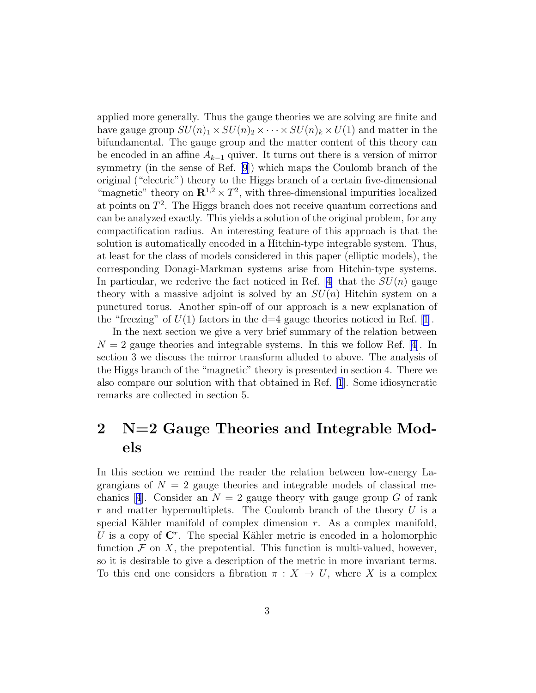applied more generally. Thus the gauge theories we are solving are finite and have gauge group  $SU(n)_1 \times SU(n)_2 \times \cdots \times SU(n)_k \times U(1)$  and matter in the bifundamental. The gauge group and the matter content of this theory can be encoded in an affine  $A_{k-1}$  quiver. It turns out there is a version of mirror symmetry (in the sense of Ref. [\[9\]](#page-19-0)) which maps the Coulomb branch of the original ("electric") theory to the Higgs branch of a certain five-dimensional "magnetic" theory on  $\mathbb{R}^{1,2} \times T^2$ , with three-dimensional impurities localized at points on  $T^2$ . The Higgs branch does not receive quantum corrections and can be analyzed exactly. This yields a solution of the original problem, for any compactification radius. An interesting feature of this approach is that the solution is automatically encoded in a Hitchin-type integrable system. Thus, at least for the class of models considered in this paper (elliptic models), the corresponding Donagi-Markman systems arise from Hitchin-type systems. In particular, we rederive the fact noticed in Ref.  $|4|$  that the  $SU(n)$  gauge theory with a massive adjoint is solved by an  $SU(n)$  Hitchin system on a punctured torus. Another spin-off of our approach is a new explanation of the"freezing" of  $U(1)$  factors in the d=4 gauge theories noticed in Ref. [[1\]](#page-18-0).

In the next section we give a very brief summary of the relation between  $N = 2$  gauge theories and integrable systems. In this we follow Ref. [\[4](#page-18-0)]. In section 3 we discuss the mirror transform alluded to above. The analysis of the Higgs branch of the "magnetic" theory is presented in section 4. There we also compare our solution with that obtained in Ref. [\[1\]](#page-18-0). Some idiosyncratic remarks are collected in section 5.

## 2 N=2 Gauge Theories and Integrable Models

In this section we remind the reader the relation between low-energy Lagrangians of  $N = 2$  gauge theories and integrable models of classical me-chanics[[4](#page-18-0)]. Consider an  $N = 2$  gauge theory with gauge group G of rank r and matter hypermultiplets. The Coulomb branch of the theory  $U$  is a special Kähler manifold of complex dimension  $r$ . As a complex manifold, U is a copy of  $\mathbb{C}^r$ . The special Kähler metric is encoded in a holomorphic function  $\mathcal F$  on  $X$ , the prepotential. This function is multi-valued, however, so it is desirable to give a description of the metric in more invariant terms. To this end one considers a fibration  $\pi : X \to U$ , where X is a complex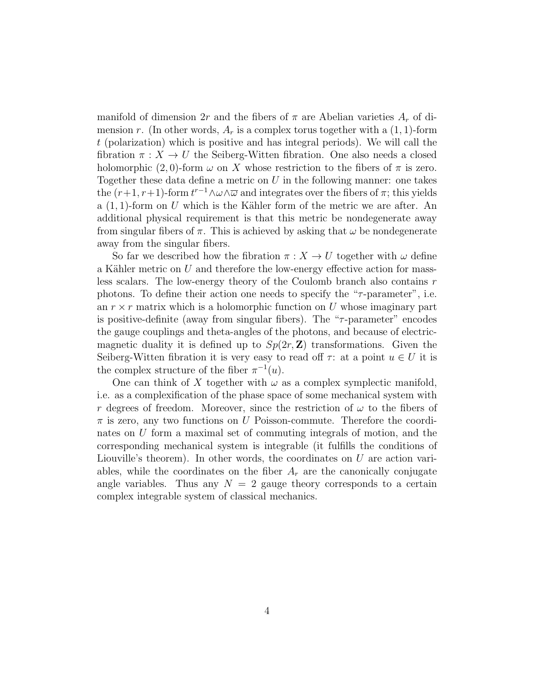manifold of dimension 2r and the fibers of  $\pi$  are Abelian varieties  $A_r$  of dimension r. (In other words,  $A_r$  is a complex torus together with a  $(1, 1)$ -form t (polarization) which is positive and has integral periods). We will call the fibration  $\pi: X \to U$  the Seiberg-Witten fibration. One also needs a closed holomorphic  $(2, 0)$ -form  $\omega$  on X whose restriction to the fibers of  $\pi$  is zero. Together these data define a metric on  $U$  in the following manner: one takes the  $(r+1, r+1)$ -form  $t^{r-1} \wedge \omega \wedge \overline{\omega}$  and integrates over the fibers of  $\pi$ ; this yields a  $(1, 1)$ -form on U which is the Kähler form of the metric we are after. An additional physical requirement is that this metric be nondegenerate away from singular fibers of  $\pi$ . This is achieved by asking that  $\omega$  be nondegenerate away from the singular fibers.

So far we described how the fibration  $\pi : X \to U$  together with  $\omega$  define a Kähler metric on  $U$  and therefore the low-energy effective action for massless scalars. The low-energy theory of the Coulomb branch also contains r photons. To define their action one needs to specify the " $\tau$ -parameter", i.e. an  $r \times r$  matrix which is a holomorphic function on U whose imaginary part is positive-definite (away from singular fibers). The " $\tau$ -parameter" encodes the gauge couplings and theta-angles of the photons, and because of electricmagnetic duality it is defined up to  $Sp(2r, \mathbb{Z})$  transformations. Given the Seiberg-Witten fibration it is very easy to read off  $\tau$ : at a point  $u \in U$  it is the complex structure of the fiber  $\pi^{-1}(u)$ .

One can think of X together with  $\omega$  as a complex symplectic manifold, i.e. as a complexification of the phase space of some mechanical system with r degrees of freedom. Moreover, since the restriction of  $\omega$  to the fibers of  $\pi$  is zero, any two functions on U Poisson-commute. Therefore the coordinates on U form a maximal set of commuting integrals of motion, and the corresponding mechanical system is integrable (it fulfills the conditions of Liouville's theorem). In other words, the coordinates on U are action variables, while the coordinates on the fiber  $A_r$  are the canonically conjugate angle variables. Thus any  $N = 2$  gauge theory corresponds to a certain complex integrable system of classical mechanics.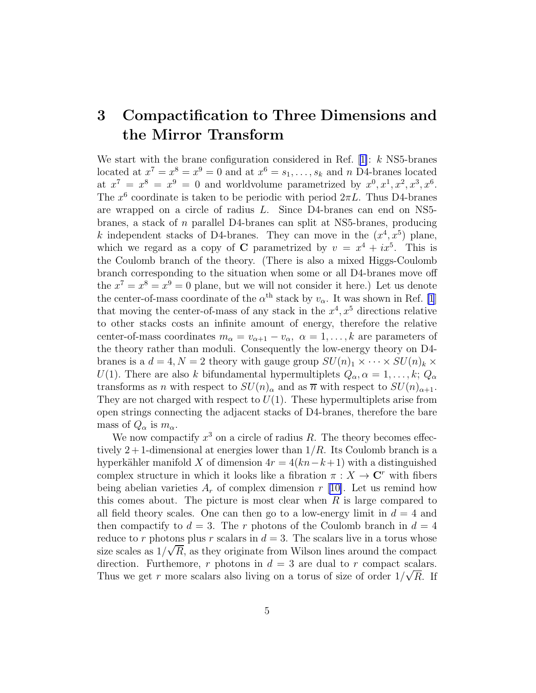## 3 Compactification to Three Dimensions and the Mirror Transform

Westart with the brane configuration considered in Ref.  $[1]: k$  $[1]: k$  $[1]: k$  NS5-branes located at  $x^7 = x^8 = x^9 = 0$  and at  $x^6 = s_1, \ldots, s_k$  and n D4-branes located at  $x^7 = x^8 = x^9 = 0$  and worldvolume parametrized by  $x^0, x^1, x^2, x^3, x^6$ . The  $x^6$  coordinate is taken to be periodic with period  $2\pi L$ . Thus D4-branes are wrapped on a circle of radius L. Since D4-branes can end on NS5 branes, a stack of n parallel D4-branes can split at NS5-branes, producing k independent stacks of D4-branes. They can move in the  $(x^4, x^5)$  plane, which we regard as a copy of C parametrized by  $v = x^4 + ix^5$ . This is the Coulomb branch of the theory. (There is also a mixed Higgs-Coulomb branch corresponding to the situation when some or all D4-branes move off the  $x^7 = x^8 = x^9 = 0$  plane, but we will not consider it here.) Let us denote the center-of-mass coordinate of the  $\alpha^{\text{th}}$  stack by  $v_{\alpha}$ . It was shown in Ref. [\[1](#page-18-0)] that moving the center-of-mass of any stack in the  $x^4, x^5$  directions relative to other stacks costs an infinite amount of energy, therefore the relative center-of-mass coordinates  $m_{\alpha} = v_{\alpha+1} - v_{\alpha}, \ \alpha = 1, \ldots, k$  are parameters of the theory rather than moduli. Consequently the low-energy theory on D4 branes is a  $d = 4, N = 2$  theory with gauge group  $SU(n)_1 \times \cdots \times SU(n)_k \times$ U(1). There are also k bifundamental hypermultiplets  $Q_{\alpha}, \alpha = 1, \ldots, k; Q_{\alpha}$ transforms as n with respect to  $SU(n)_{\alpha}$  and as  $\overline{n}$  with respect to  $SU(n)_{\alpha+1}$ . They are not charged with respect to  $U(1)$ . These hypermultiplets arise from open strings connecting the adjacent stacks of D4-branes, therefore the bare mass of  $Q_{\alpha}$  is  $m_{\alpha}$ .

We now compactify  $x^3$  on a circle of radius R. The theory becomes effectively 2 + 1-dimensional at energies lower than  $1/R$ . Its Coulomb branch is a hyperkähler manifold X of dimension  $4r = 4(kn-k+1)$  with a distinguished complex structure in which it looks like a fibration  $\pi : X \to \mathbb{C}^r$  with fibers being abelian varieties  $A_r$  of complex dimension r [\[10\]](#page-19-0). Let us remind how this comes about. The picture is most clear when  $R$  is large compared to all field theory scales. One can then go to a low-energy limit in  $d = 4$  and then compactify to  $d = 3$ . The r photons of the Coulomb branch in  $d = 4$ reduce to r photons plus r scalars in  $d = 3$ . The scalars live in a torus whose size scales as  $1/\sqrt{R}$ , as they originate from Wilson lines around the compact direction. Furthemore, r photons in  $d = 3$  are dual to r compact scalars. Thus we get r more scalars also living on a torus of size of order  $1/\sqrt{R}$ . If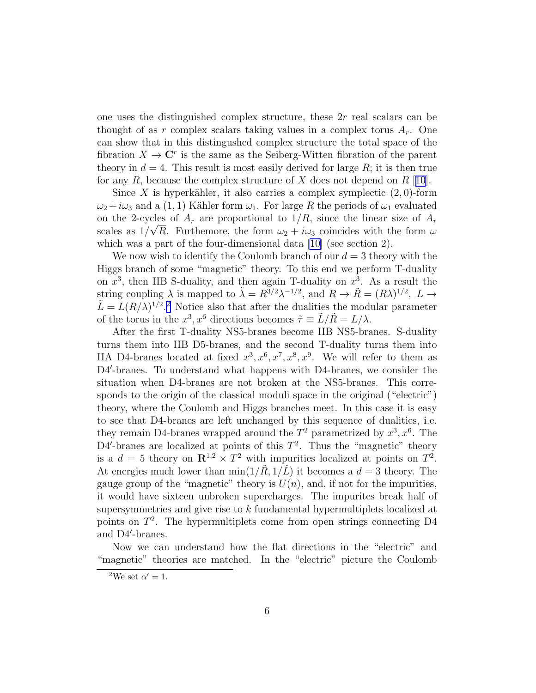one uses the distinguished complex structure, these 2r real scalars can be thought of as r complex scalars taking values in a complex torus  $A_r$ . One can show that in this distingushed complex structure the total space of the fibration  $X \to \mathbb{C}^r$  is the same as the Seiberg-Witten fibration of the parent theory in  $d = 4$ . This result is most easily derived for large R; it is then true for any R, because the complex structure of X does not depend on  $R$  [[10](#page-19-0)].

Since X is hyperkähler, it also carries a complex symplectic  $(2,0)$ -form  $\omega_2 + i\omega_3$  and a (1, 1) Kähler form  $\omega_1$ . For large R the periods of  $\omega_1$  evaluated on the 2-cycles of  $A_r$  are proportional to  $1/R$ , since the linear size of  $A_r$ scales as  $1/\sqrt{R}$ . Furthemore, the form  $\omega_2 + i\omega_3$  coincides with the form  $\omega$ which was a part of the four-dimensional data [\[10\]](#page-19-0) (see section 2).

We now wish to identify the Coulomb branch of our  $d = 3$  theory with the Higgs branch of some "magnetic" theory. To this end we perform T-duality on  $x^3$ , then IIB S-duality, and then again T-duality on  $x^3$ . As a result the string coupling  $\lambda$  is mapped to  $\tilde{\lambda} = R^{3/2} \lambda^{-1/2}$ , and  $R \to \tilde{R} = (R\lambda)^{1/2}$ ,  $L \to \tilde{\lambda}$  $\tilde{L} = L(R/\lambda)^{1/2}$ . Notice also that after the dualities the modular parameter of the torus in the  $x^3$ ,  $x^6$  directions becomes  $\tilde{\tau} \equiv \tilde{L}/\tilde{R} = L/\lambda$ .

After the first T-duality NS5-branes become IIB NS5-branes. S-duality turns them into IIB D5-branes, and the second T-duality turns them into IIA D4-branes located at fixed  $x^3, x^6, x^7, x^8, x^9$ . We will refer to them as D4'-branes. To understand what happens with D4-branes, we consider the situation when D4-branes are not broken at the NS5-branes. This corresponds to the origin of the classical moduli space in the original ("electric") theory, where the Coulomb and Higgs branches meet. In this case it is easy to see that D4-branes are left unchanged by this sequence of dualities, i.e. they remain D4-branes wrapped around the  $T^2$  parametrized by  $x^3, x^6$ . The D4'-branes are localized at points of this  $T^2$ . Thus the "magnetic" theory is a  $d = 5$  theory on  $\mathbb{R}^{1,2} \times T^2$  with impurities localized at points on  $T^2$ . At energies much lower than  $\min(1/\tilde{R}, 1/\tilde{L})$  it becomes a  $d = 3$  theory. The gauge group of the "magnetic" theory is  $U(n)$ , and, if not for the impurities, it would have sixteen unbroken supercharges. The impurites break half of supersymmetries and give rise to k fundamental hypermultiplets localized at points on  $T^2$ . The hypermultiplets come from open strings connecting D4 and D4′ -branes.

Now we can understand how the flat directions in the "electric" and "magnetic" theories are matched. In the "electric" picture the Coulomb

<sup>&</sup>lt;sup>2</sup>We set  $\alpha' = 1$ .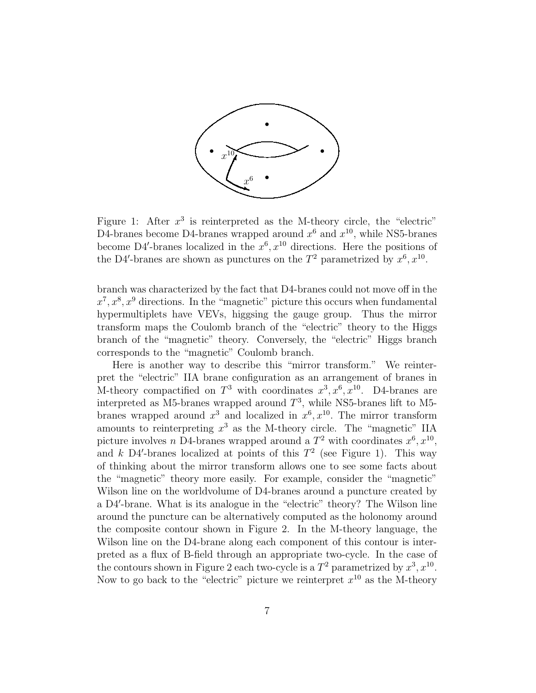

Figure 1: After  $x^3$  is reinterpreted as the M-theory circle, the "electric" D4-branes become D4-branes wrapped around  $x^6$  and  $x^{10}$ , while NS5-branes become D4'-branes localized in the  $x^6, x^{10}$  directions. Here the positions of the D4'-branes are shown as punctures on the  $T^2$  parametrized by  $x^6, x^{10}$ .

branch was characterized by the fact that D4-branes could not move off in the  $x^7, x^8, x^9$  directions. In the "magnetic" picture this occurs when fundamental hypermultiplets have VEVs, higgsing the gauge group. Thus the mirror transform maps the Coulomb branch of the "electric" theory to the Higgs branch of the "magnetic" theory. Conversely, the "electric" Higgs branch corresponds to the "magnetic" Coulomb branch.

Here is another way to describe this "mirror transform." We reinterpret the "electric" IIA brane configuration as an arrangement of branes in M-theory compactified on  $T^3$  with coordinates  $x^3, x^6, x^{10}$ . D4-branes are interpreted as M5-branes wrapped around  $T^3$ , while NS5-branes lift to M5branes wrapped around  $x^3$  and localized in  $x^6, x^{10}$ . The mirror transform amounts to reinterpreting  $x^3$  as the M-theory circle. The "magnetic" IIA picture involves *n* D4-branes wrapped around a  $T^2$  with coordinates  $x^6, x^{10}$ , and  $k$  D4'-branes localized at points of this  $T^2$  (see Figure 1). This way of thinking about the mirror transform allows one to see some facts about the "magnetic" theory more easily. For example, consider the "magnetic" Wilson line on the worldvolume of D4-branes around a puncture created by a D4′ -brane. What is its analogue in the "electric" theory? The Wilson line around the puncture can be alternatively computed as the holonomy around the composite contour shown in Figure 2. In the M-theory language, the Wilson line on the D4-brane along each component of this contour is interpreted as a flux of B-field through an appropriate two-cycle. In the case of the contours shown in Figure 2 each two-cycle is a  $T^2$  parametrized by  $x^3, x^{10}$ . Now to go back to the "electric" picture we reinterpret  $x^{10}$  as the M-theory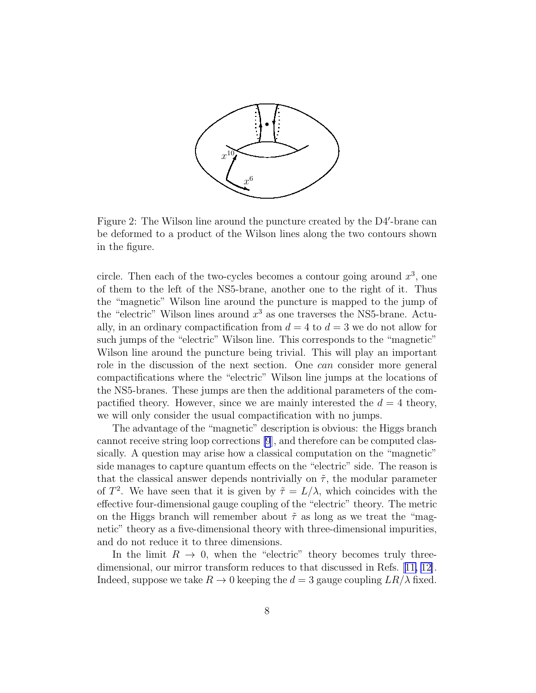

Figure 2: The Wilson line around the puncture created by the D4'-brane can be deformed to a product of the Wilson lines along the two contours shown in the figure.

circle. Then each of the two-cycles becomes a contour going around  $x^3$ , one of them to the left of the NS5-brane, another one to the right of it. Thus the "magnetic" Wilson line around the puncture is mapped to the jump of the "electric" Wilson lines around  $x^3$  as one traverses the NS5-brane. Actually, in an ordinary compactification from  $d = 4$  to  $d = 3$  we do not allow for such jumps of the "electric" Wilson line. This corresponds to the "magnetic" Wilson line around the puncture being trivial. This will play an important role in the discussion of the next section. One can consider more general compactifications where the "electric" Wilson line jumps at the locations of the NS5-branes. These jumps are then the additional parameters of the compactified theory. However, since we are mainly interested the  $d = 4$  theory, we will only consider the usual compactification with no jumps.

The advantage of the "magnetic" description is obvious: the Higgs branch cannot receive string loop corrections [\[9](#page-19-0)], and therefore can be computed classically. A question may arise how a classical computation on the "magnetic" side manages to capture quantum effects on the "electric" side. The reason is that the classical answer depends nontrivially on  $\tilde{\tau}$ , the modular parameter of  $T^2$ . We have seen that it is given by  $\tilde{\tau} = L/\lambda$ , which coincides with the effective four-dimensional gauge coupling of the "electric" theory. The metric on the Higgs branch will remember about  $\tilde{\tau}$  as long as we treat the "magnetic" theory as a five-dimensional theory with three-dimensional impurities, and do not reduce it to three dimensions.

In the limit  $R \to 0$ , when the "electric" theory becomes truly threedimensional, our mirror transform reduces to that discussed in Refs.[[11, 12\]](#page-19-0). Indeed, suppose we take  $R \to 0$  keeping the  $d = 3$  gauge coupling  $LR/\lambda$  fixed.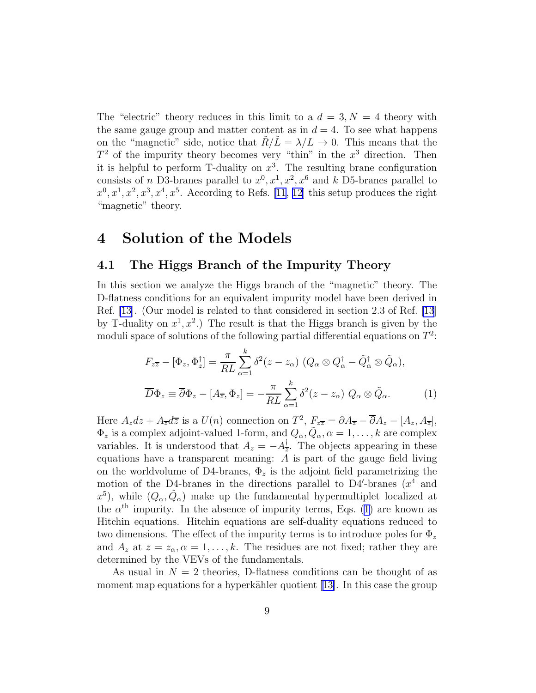<span id="page-9-0"></span>The "electric" theory reduces in this limit to a  $d = 3, N = 4$  theory with the same gauge group and matter content as in  $d = 4$ . To see what happens on the "magnetic" side, notice that  $R/L = \lambda/L \rightarrow 0$ . This means that the  $T^2$  of the impurity theory becomes very "thin" in the  $x^3$  direction. Then it is helpful to perform T-duality on  $x^3$ . The resulting brane configuration consists of *n* D3-branes parallel to  $x^0, x^1, x^2, x^6$  and *k* D5-branes parallel to  $x^0, x^1, x^2, x^3, x^4, x^5$ . According to Refs. [\[11, 12\]](#page-19-0) this setup produces the right "magnetic" theory.

## 4 Solution of the Models

#### 4.1 The Higgs Branch of the Impurity Theory

In this section we analyze the Higgs branch of the "magnetic" theory. The D-flatness conditions for an equivalent impurity model have been derived in Ref. [\[13](#page-19-0)]. (Our model is related to that considered in section 2.3 of Ref. [\[13](#page-19-0)] by T-duality on  $x^1, x^2$ .) The result is that the Higgs branch is given by the moduli space of solutions of the following partial differential equations on  $T^2$ :

$$
F_{z\overline{z}} - [\Phi_z, \Phi_z^{\dagger}] = \frac{\pi}{RL} \sum_{\alpha=1}^k \delta^2 (z - z_{\alpha}) \ (Q_{\alpha} \otimes Q_{\alpha}^{\dagger} - \tilde{Q}_{\alpha}^{\dagger} \otimes \tilde{Q}_{\alpha}),
$$
  

$$
\overline{D} \Phi_z \equiv \overline{\partial} \Phi_z - [A_{\overline{z}}, \Phi_z] = -\frac{\pi}{RL} \sum_{\alpha=1}^k \delta^2 (z - z_{\alpha}) \ Q_{\alpha} \otimes \tilde{Q}_{\alpha}.
$$
 (1)

Here  $A_z dz + A_{\overline{z}} d\overline{z}$  is a  $U(n)$  connection on  $T^2$ ,  $F_{z\overline{z}} = \partial A_{\overline{z}} - \overline{\partial} A_z - [A_z, A_{\overline{z}}]$ ,  $\Phi_z$  is a complex adjoint-valued 1-form, and  $Q_\alpha, \tilde{Q}_\alpha, \alpha = 1, \ldots, k$  are complex variables. It is understood that  $A_z = -A_{\overline{z}}^{\dagger}$  $\frac{1}{z}$ . The objects appearing in these equations have a transparent meaning:  $A$  is part of the gauge field living on the worldvolume of D4-branes,  $\Phi_z$  is the adjoint field parametrizing the motion of the D4-branes in the directions parallel to D4'-branes  $(x^4)$  and  $(x^5)$ , while  $(Q_\alpha, \tilde{Q}_\alpha)$  make up the fundamental hypermultiplet localized at the  $\alpha^{\text{th}}$  impurity. In the absence of impurity terms, Eqs. (1) are known as Hitchin equations. Hitchin equations are self-duality equations reduced to two dimensions. The effect of the impurity terms is to introduce poles for  $\Phi_z$ and  $A_z$  at  $z = z_\alpha, \alpha = 1, \ldots, k$ . The residues are not fixed; rather they are determined by the VEVs of the fundamentals.

As usual in  $N = 2$  theories, D-flatness conditions can be thought of as momentmap equations for a hyperkähler quotient  $[13]$  $[13]$ . In this case the group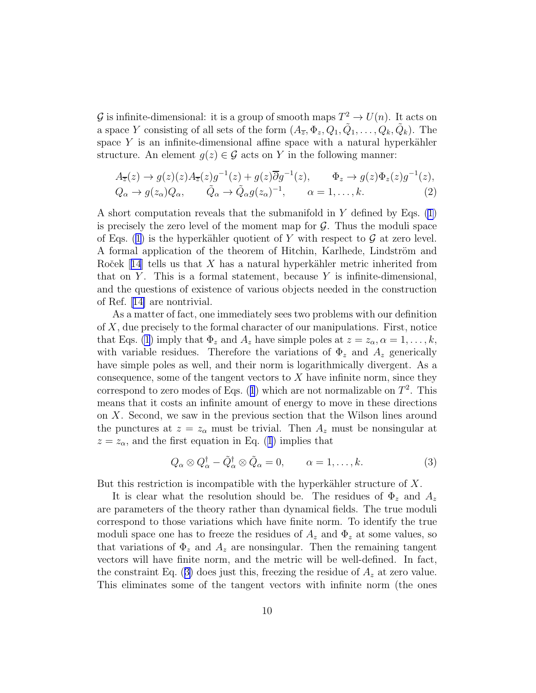<span id="page-10-0"></span>G is infinite-dimensional: it is a group of smooth maps  $T^2 \to U(n)$ . It acts on a space Y consisting of all sets of the form  $(A_{\overline{z}}, \Phi_z, Q_1, \tilde{Q}_1, \ldots, Q_k, \tilde{Q}_k)$ . The space Y is an infinite-dimensional affine space with a natural hyperkähler structure. An element  $g(z) \in \mathcal{G}$  acts on Y in the following manner:

$$
A_{\overline{z}}(z) \to g(z)(z)A_{\overline{z}}(z)g^{-1}(z) + g(z)\overline{\partial}g^{-1}(z), \qquad \Phi_z \to g(z)\Phi_z(z)g^{-1}(z),
$$
  
\n
$$
Q_{\alpha} \to g(z_{\alpha})Q_{\alpha}, \qquad \tilde{Q}_{\alpha} \to \tilde{Q}_{\alpha}g(z_{\alpha})^{-1}, \qquad \alpha = 1, \dots, k.
$$
\n(2)

Ashort computation reveals that the submanifold in Y defined by Eqs.  $(1)$  $(1)$ is precisely the zero level of the moment map for  $\mathcal G$ . Thus the moduli space of Eqs. [\(1](#page-9-0)) is the hyperkähler quotient of Y with respect to  $\mathcal G$  at zero level. A formal application of the theorem of Hitchin, Karlhede, Lindström and Roček $[14]$  $[14]$  $[14]$  tells us that X has a natural hyperkähler metric inherited from that on Y. This is a formal statement, because Y is infinite-dimensional, and the questions of existence of various objects needed in the construction of Ref.[[14\]](#page-19-0) are nontrivial.

As a matter of fact, one immediately sees two problems with our definition of X, due precisely to the formal character of our manipulations. First, notice that Eqs. [\(1](#page-9-0)) imply that  $\Phi_z$  and  $A_z$  have simple poles at  $z = z_\alpha, \alpha = 1, \ldots, k$ , with variable residues. Therefore the variations of  $\Phi_z$  and  $A_z$  generically have simple poles as well, and their norm is logarithmically divergent. As a consequence, some of the tangent vectors to  $X$  have infinite norm, since they correspondto zero modes of Eqs. ([1](#page-9-0)) which are not normalizable on  $T^2$ . This means that it costs an infinite amount of energy to move in these directions on X. Second, we saw in the previous section that the Wilson lines around the punctures at  $z = z_\alpha$  must be trivial. Then  $A_z$  must be nonsingular at  $z = z_{\alpha}$  $z = z_{\alpha}$  $z = z_{\alpha}$ , and the first equation in Eq. ([1](#page-9-0)) implies that

$$
Q_{\alpha} \otimes Q_{\alpha}^{\dagger} - \tilde{Q}_{\alpha}^{\dagger} \otimes \tilde{Q}_{\alpha} = 0, \qquad \alpha = 1, \dots, k. \tag{3}
$$

But this restriction is incompatible with the hyperkähler structure of  $X$ .

It is clear what the resolution should be. The residues of  $\Phi_z$  and  $A_z$ are parameters of the theory rather than dynamical fields. The true moduli correspond to those variations which have finite norm. To identify the true moduli space one has to freeze the residues of  $A_z$  and  $\Phi_z$  at some values, so that variations of  $\Phi_z$  and  $A_z$  are nonsingular. Then the remaining tangent vectors will have finite norm, and the metric will be well-defined. In fact, the constraint Eq. (3) does just this, freezing the residue of  $A<sub>z</sub>$  at zero value. This eliminates some of the tangent vectors with infinite norm (the ones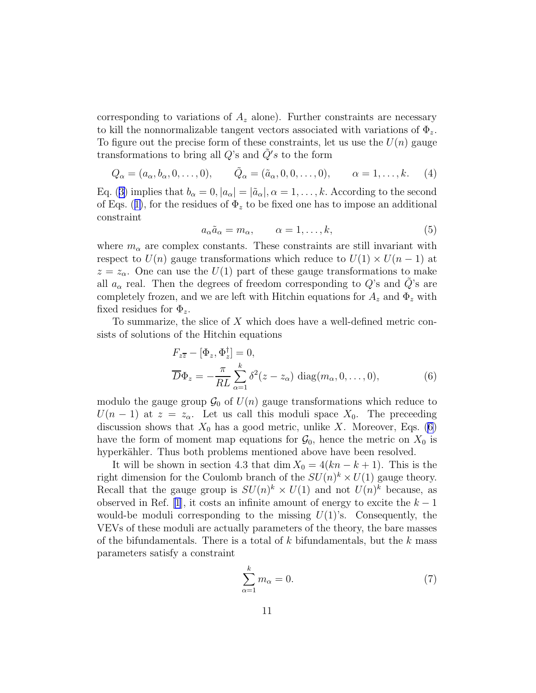<span id="page-11-0"></span>corresponding to variations of  $A_z$  alone). Further constraints are necessary to kill the nonnormalizable tangent vectors associated with variations of  $\Phi_z$ . To figure out the precise form of these constraints, let us use the  $U(n)$  gauge transformations to bring all  $Q$ 's and  $\tilde{Q}'s$  to the form

$$
Q_{\alpha} = (a_{\alpha}, b_{\alpha}, 0, \dots, 0), \qquad \tilde{Q}_{\alpha} = (\tilde{a}_{\alpha}, 0, 0, \dots, 0), \qquad \alpha = 1, \dots, k.
$$
 (4)

Eq.([3\)](#page-10-0) implies that  $b_{\alpha} = 0$ ,  $|a_{\alpha}| = |\tilde{a}_{\alpha}|$ ,  $\alpha = 1, \ldots, k$ . According to the second ofEqs. ([1\)](#page-9-0), for the residues of  $\Phi_z$  to be fixed one has to impose an additional constraint

$$
a_{\alpha}\tilde{a}_{\alpha} = m_{\alpha}, \qquad \alpha = 1, \dots, k,
$$
\n(5)

where  $m_{\alpha}$  are complex constants. These constraints are still invariant with respect to  $U(n)$  gauge transformations which reduce to  $U(1) \times U(n-1)$  at  $z = z_{\alpha}$ . One can use the  $U(1)$  part of these gauge transformations to make all  $a_{\alpha}$  real. Then the degrees of freedom corresponding to  $Q$ 's and  $Q$ 's are completely frozen, and we are left with Hitchin equations for  $A_z$  and  $\Phi_z$  with fixed residues for  $\Phi_z$ .

To summarize, the slice of  $X$  which does have a well-defined metric consists of solutions of the Hitchin equations

$$
F_{z\overline{z}} - [\Phi_z, \Phi_z^{\dagger}] = 0,
$$
  
\n
$$
\overline{D}\Phi_z = -\frac{\pi}{RL} \sum_{\alpha=1}^k \delta^2(z - z_\alpha) \text{ diag}(m_\alpha, 0, \dots, 0),
$$
\n(6)

modulo the gauge group  $\mathcal{G}_0$  of  $U(n)$  gauge transformations which reduce to  $U(n-1)$  at  $z=z_{\alpha}$ . Let us call this moduli space  $X_0$ . The preceeding discussion shows that  $X_0$  has a good metric, unlike X. Moreover, Eqs. (6) have the form of moment map equations for  $\mathcal{G}_0$ , hence the metric on  $X_0$  is hyperkähler. Thus both problems mentioned above have been resolved.

It will be shown in section 4.3 that dim  $X_0 = 4(kn - k + 1)$ . This is the right dimension for the Coulomb branch of the  $SU(n)^k \times U(1)$  gauge theory. Recall that the gauge group is  $SU(n)^k \times U(1)$  and not  $U(n)^k$  because, as observed in Ref. [\[1](#page-18-0)], it costs an infinite amount of energy to excite the  $k-1$ would-be moduli corresponding to the missing  $U(1)$ 's. Consequently, the VEVs of these moduli are actually parameters of the theory, the bare masses of the bifundamentals. There is a total of  $k$  bifundamentals, but the  $k$  mass parameters satisfy a constraint

$$
\sum_{\alpha=1}^{k} m_{\alpha} = 0. \tag{7}
$$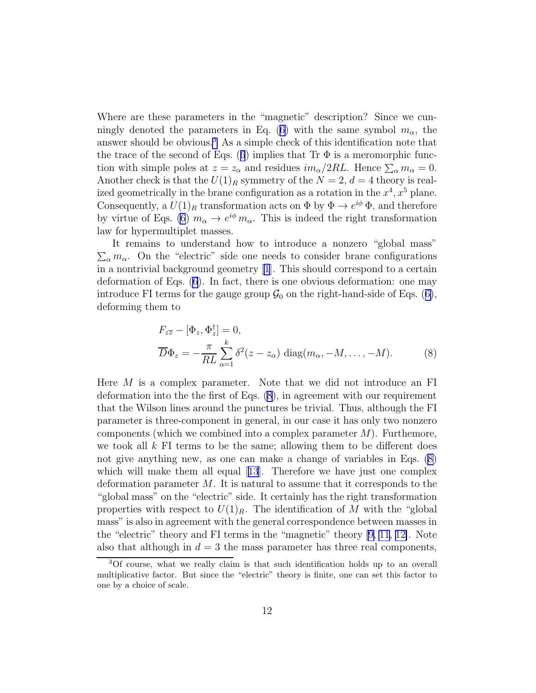<span id="page-12-0"></span>Where are these parameters in the "magnetic" description? Since we cun-ninglydenoted the parameters in Eq. ([6\)](#page-11-0) with the same symbol  $m_{\alpha}$ , the answer should be obvious.<sup>3</sup> As a simple check of this identification note that thetrace of the second of Eqs. ([6](#page-11-0)) implies that Tr  $\Phi$  is a meromorphic function with simple poles at  $z = z_\alpha$  and residues  $im_\alpha/2RL$ . Hence  $\sum_\alpha m_\alpha = 0$ . Another check is that the  $U(1)_R$  symmetry of the  $N = 2, d = 4$  theory is realized geometrically in the brane configuration as a rotation in the  $x^4, x^5$  plane. Consequently, a  $U(1)_R$  transformation acts on  $\Phi$  by  $\Phi \to e^{i\phi} \Phi$ , and therefore by virtue of Eqs. [\(6](#page-11-0))  $m_{\alpha} \to e^{i\phi} m_{\alpha}$ . This is indeed the right transformation law for hypermultiplet masses.

It remains to understand how to introduce a nonzero "global mass"  $\sum_{\alpha} m_{\alpha}$ . On the "electric" side one needs to consider brane configurations in a nontrivial background geometry [\[1](#page-18-0)]. This should correspond to a certain deformation of Eqs. [\(6](#page-11-0)). In fact, there is one obvious deformation: one may introduceFI terms for the gauge group  $\mathcal{G}_0$  on the right-hand-side of Eqs. ([6\)](#page-11-0), deforming them to

$$
F_{z\overline{z}} - [\Phi_z, \Phi_z^{\dagger}] = 0,
$$
  
\n
$$
\overline{D}\Phi_z = -\frac{\pi}{RL} \sum_{\alpha=1}^k \delta^2(z - z_\alpha) \text{ diag}(m_\alpha, -M, \dots, -M).
$$
 (8)

Here M is a complex parameter. Note that we did not introduce an FI deformation into the the first of Eqs. (8), in agreement with our requirement that the Wilson lines around the punctures be trivial. Thus, although the FI parameter is three-component in general, in our case it has only two nonzero components (which we combined into a complex parameter  $M$ ). Furthemore, we took all  $k$  FI terms to be the same; allowing them to be different does not give anything new, as one can make a change of variables in Eqs. (8) whichwill make them all equal [[13](#page-19-0)]. Therefore we have just one complex deformation parameter  $M$ . It is natural to assume that it corresponds to the "global mass" on the "electric" side. It certainly has the right transformation properties with respect to  $U(1)_R$ . The identification of M with the "global" mass" is also in agreement with the general correspondence between masses in the "electric" theory and FI terms in the "magnetic" theory[[9, 11](#page-19-0), [12\]](#page-19-0). Note also that although in  $d = 3$  the mass parameter has three real components,

<sup>3</sup>Of course, what we really claim is that such identification holds up to an overall multiplicative factor. But since the "electric" theory is finite, one can set this factor to one by a choice of scale.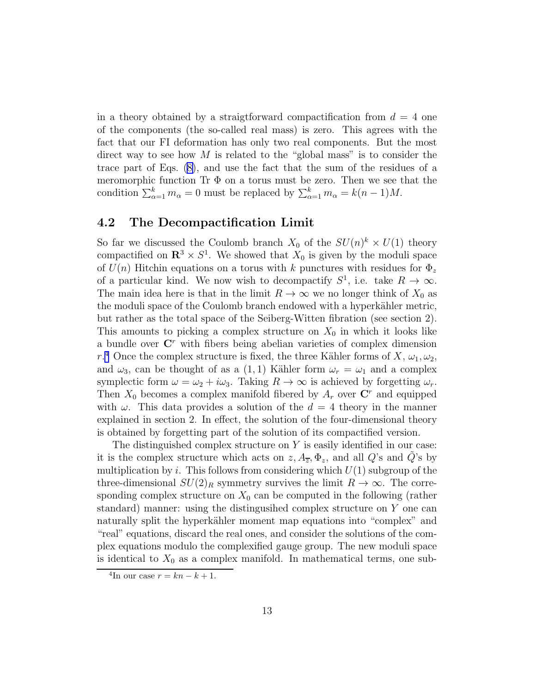in a theory obtained by a straigtforward compactification from  $d = 4$  one of the components (the so-called real mass) is zero. This agrees with the fact that our FI deformation has only two real components. But the most direct way to see how  $M$  is related to the "global mass" is to consider the trace part of Eqs.([8\)](#page-12-0), and use the fact that the sum of the residues of a meromorphic function Tr  $\Phi$  on a torus must be zero. Then we see that the condition  $\sum_{\alpha=1}^{k} m_{\alpha} = 0$  must be replaced by  $\sum_{\alpha=1}^{k} m_{\alpha} = k(n-1)M$ .

#### 4.2 The Decompactification Limit

So far we discussed the Coulomb branch  $X_0$  of the  $SU(n)^k \times U(1)$  theory compactified on  $\mathbb{R}^3 \times S^1$ . We showed that  $X_0$  is given by the moduli space of  $U(n)$  Hitchin equations on a torus with k punctures with residues for  $\Phi_z$ of a particular kind. We now wish to decompactify  $S^1$ , i.e. take  $R \to \infty$ . The main idea here is that in the limit  $R \to \infty$  we no longer think of  $X_0$  as the moduli space of the Coulomb branch endowed with a hyperkähler metric, but rather as the total space of the Seiberg-Witten fibration (see section 2). This amounts to picking a complex structure on  $X_0$  in which it looks like a bundle over  $\mathbb{C}^r$  with fibers being abelian varieties of complex dimension r.<sup>4</sup> Once the complex structure is fixed, the three Kähler forms of X,  $\omega_1, \omega_2$ , and  $\omega_3$ , can be thought of as a (1, 1) Kähler form  $\omega_r = \omega_1$  and a complex symplectic form  $\omega = \omega_2 + i\omega_3$ . Taking  $R \to \infty$  is achieved by forgetting  $\omega_r$ . Then  $X_0$  becomes a complex manifold fibered by  $A_r$  over  $\mathbb{C}^r$  and equipped with  $\omega$ . This data provides a solution of the  $d = 4$  theory in the manner explained in section 2. In effect, the solution of the four-dimensional theory is obtained by forgetting part of the solution of its compactified version.

The distinguished complex structure on  $Y$  is easily identified in our case: it is the complex structure which acts on  $z, A_{\overline{z}}, \Phi_z$ , and all Q's and Q's by multiplication by i. This follows from considering which  $U(1)$  subgroup of the three-dimensional  $SU(2)_R$  symmetry survives the limit  $R \to \infty$ . The corresponding complex structure on  $X_0$  can be computed in the following (rather standard) manner: using the distingusihed complex structure on Y one can naturally split the hyperkähler moment map equations into "complex" and "real" equations, discard the real ones, and consider the solutions of the complex equations modulo the complexified gauge group. The new moduli space is identical to  $X_0$  as a complex manifold. In mathematical terms, one sub-

<sup>&</sup>lt;sup>4</sup>In our case  $r = kn - k + 1$ .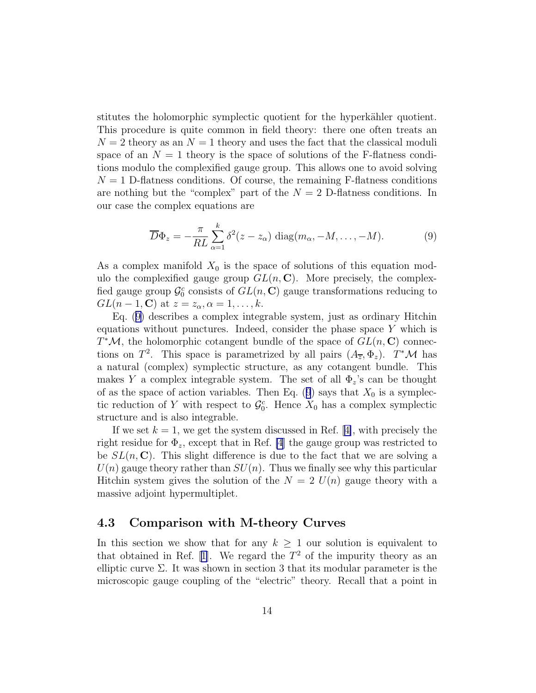stitutes the holomorphic symplectic quotient for the hyperkähler quotient. This procedure is quite common in field theory: there one often treats an  $N = 2$  theory as an  $N = 1$  theory and uses the fact that the classical moduli space of an  $N = 1$  theory is the space of solutions of the F-flatness conditions modulo the complexified gauge group. This allows one to avoid solving  $N = 1$  D-flatness conditions. Of course, the remaining F-flatness conditions are nothing but the "complex" part of the  $N = 2$  D-flatness conditions. In our case the complex equations are

$$
\overline{D}\Phi_z = -\frac{\pi}{RL} \sum_{\alpha=1}^k \delta^2(z - z_\alpha) \text{ diag}(m_\alpha, -M, \dots, -M).
$$
 (9)

As a complex manifold  $X_0$  is the space of solutions of this equation modulo the complexified gauge group  $GL(n, \mathbb{C})$ . More precisely, the complexfied gauge group  $\mathcal{G}_0^c$  consists of  $GL(n, \mathbb{C})$  gauge transformations reducing to  $GL(n-1,\mathbf{C})$  at  $z=z_\alpha, \alpha=1,\ldots,k$ .

Eq. (9) describes a complex integrable system, just as ordinary Hitchin equations without punctures. Indeed, consider the phase space  $Y$  which is  $T^{\ast}$ *M*, the holomorphic cotangent bundle of the space of  $GL(n, \mathbb{C})$  connections on  $T^2$ . This space is parametrized by all pairs  $(A_{\overline{z}}, \Phi_z)$ .  $T^*\mathcal{M}$  has a natural (complex) symplectic structure, as any cotangent bundle. This makes Y a complex integrable system. The set of all  $\Phi_z$ 's can be thought of as the space of action variables. Then Eq. (9) says that  $X_0$  is a symplectic reduction of Y with respect to  $\mathcal{G}_0^c$ . Hence  $X_0$  has a complex symplectic structure and is also integrable.

Ifwe set  $k = 1$ , we get the system discussed in Ref. [[4\]](#page-18-0), with precisely the right residue for  $\Phi_z$ , except that in Ref. [\[4](#page-18-0)] the gauge group was restricted to be  $SL(n, \mathbb{C})$ . This slight difference is due to the fact that we are solving a  $U(n)$  gauge theory rather than  $SU(n)$ . Thus we finally see why this particular Hitchin system gives the solution of the  $N = 2 U(n)$  gauge theory with a massive adjoint hypermultiplet.

#### 4.3 Comparison with M-theory Curves

In this section we show that for any  $k \geq 1$  our solution is equivalent to that obtained in Ref. [\[1\]](#page-18-0). We regard the  $T^2$  of the impurity theory as an elliptic curve  $\Sigma$ . It was shown in section 3 that its modular parameter is the microscopic gauge coupling of the "electric" theory. Recall that a point in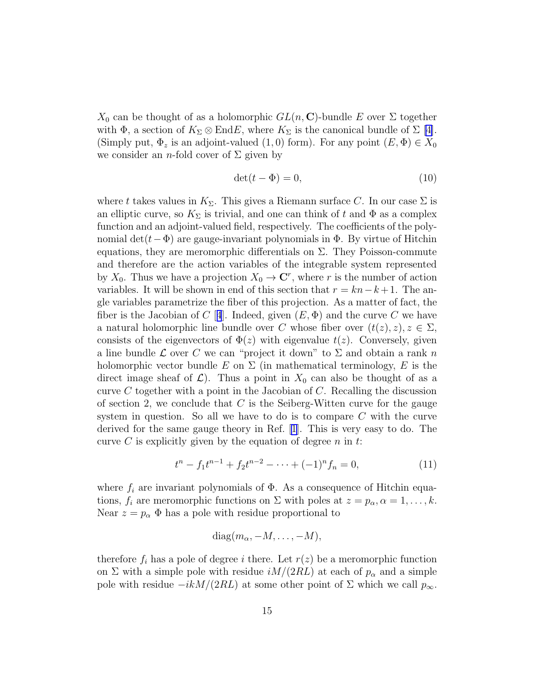<span id="page-15-0"></span> $X_0$  can be thought of as a holomorphic  $GL(n, \mathbb{C})$ -bundle E over  $\Sigma$  together with  $\Phi$ , a section of  $K_{\Sigma} \otimes \text{End}E$ , where  $K_{\Sigma}$  is the canonical bundle of  $\Sigma$  [\[4\]](#page-18-0). (Simply put,  $\Phi_z$  is an adjoint-valued  $(1,0)$  form). For any point  $(E,\Phi) \in X_0$ we consider an *n*-fold cover of  $\Sigma$  given by

$$
\det(t - \Phi) = 0,\t\t(10)
$$

where t takes values in  $K_{\Sigma}$ . This gives a Riemann surface C. In our case  $\Sigma$  is an elliptic curve, so  $K_{\Sigma}$  is trivial, and one can think of t and  $\Phi$  as a complex function and an adjoint-valued field, respectively. The coefficients of the polynomial det( $t-\Phi$ ) are gauge-invariant polynomials in  $\Phi$ . By virtue of Hitchin equations, they are meromorphic differentials on  $\Sigma$ . They Poisson-commute and therefore are the action variables of the integrable system represented by  $X_0$ . Thus we have a projection  $X_0 \to \mathbb{C}^r$ , where r is the number of action variables. It will be shown in end of this section that  $r = kn-k+1$ . The angle variables parametrize the fiber of this projection. As a matter of fact, the fiber is the Jacobian of C [[4](#page-18-0)]. Indeed, given  $(E, \Phi)$  and the curve C we have a natural holomorphic line bundle over C whose fiber over  $(t(z), z), z \in \Sigma$ , consists of the eigenvectors of  $\Phi(z)$  with eigenvalue  $t(z)$ . Conversely, given a line bundle  $\mathcal L$  over C we can "project it down" to  $\Sigma$  and obtain a rank n holomorphic vector bundle E on  $\Sigma$  (in mathematical terminology, E is the direct image sheaf of  $\mathcal{L}$ ). Thus a point in  $X_0$  can also be thought of as a curve  $C$  together with a point in the Jacobian of  $C$ . Recalling the discussion of section 2, we conclude that  $C$  is the Seiberg-Witten curve for the gauge system in question. So all we have to do is to compare  $C$  with the curve derived for the same gauge theory in Ref. [\[1](#page-18-0)]. This is very easy to do. The curve C is explicitly given by the equation of degree  $n$  in  $t$ .

$$
t^{n} - f_{1}t^{n-1} + f_{2}t^{n-2} - \dots + (-1)^{n}f_{n} = 0,
$$
\n(11)

where  $f_i$  are invariant polynomials of  $\Phi$ . As a consequence of Hitchin equations,  $f_i$  are meromorphic functions on  $\Sigma$  with poles at  $z = p_\alpha, \alpha = 1, \ldots, k$ . Near  $z = p_{\alpha} \Phi$  has a pole with residue proportional to

$$
diag(m_{\alpha}, -M, \ldots, -M),
$$

therefore  $f_i$  has a pole of degree i there. Let  $r(z)$  be a meromorphic function on  $\Sigma$  with a simple pole with residue  $iM/(2RL)$  at each of  $p_{\alpha}$  and a simple pole with residue  $-ikM/(2RL)$  at some other point of  $\Sigma$  which we call  $p_{\infty}$ .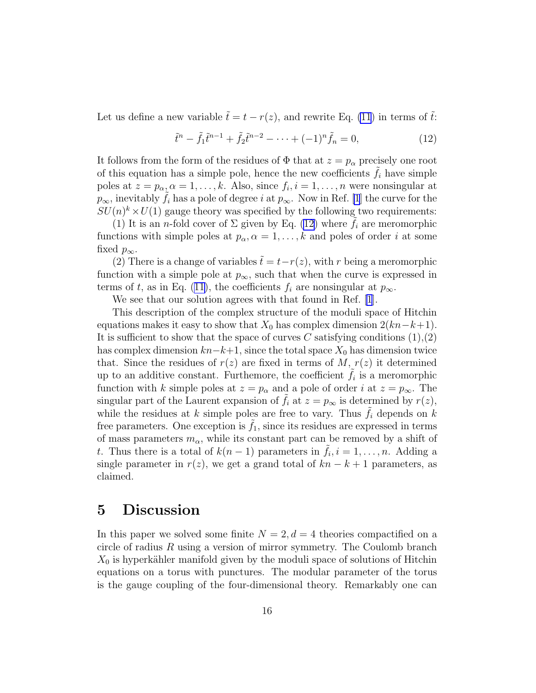Let us define a new variable  $\tilde{t} = t - r(z)$ , and rewrite Eq. [\(11](#page-15-0)) in terms of  $\tilde{t}$ :

$$
\tilde{t}^{n} - \tilde{f}_{1}\tilde{t}^{n-1} + \tilde{f}_{2}\tilde{t}^{n-2} - \dots + (-1)^{n}\tilde{f}_{n} = 0,
$$
\n(12)

It follows from the form of the residues of  $\Phi$  that at  $z = p_{\alpha}$  precisely one root of this equation has a simple pole, hence the new coefficients  $f_i$  have simple poles at  $z = p_{\alpha}, \alpha = 1, \ldots, k$ . Also, since  $f_i, i = 1, \ldots, n$  were nonsingular at  $p_{\infty}$ , inevitably  $f_i$  has a pole of degree i at  $p_{\infty}$ . Now in Ref. [\[1](#page-18-0)] the curve for the  $SU(n)^k \times U(1)$  gauge theory was specified by the following two requirements:

(1) It is an *n*-fold cover of  $\Sigma$  given by Eq. (12) where  $f_i$  are meromorphic functions with simple poles at  $p_{\alpha}, \alpha = 1, \ldots, k$  and poles of order i at some fixed  $p_{\infty}$ .

(2) There is a change of variables  $\tilde{t} = t - r(z)$ , with r being a meromorphic function with a simple pole at  $p_{\infty}$ , such that when the curve is expressed in termsof t, as in Eq. ([11\)](#page-15-0), the coefficients  $f_i$  are nonsingular at  $p_{\infty}$ .

We see that our solution agrees with that found in Ref. [\[1](#page-18-0)].

This description of the complex structure of the moduli space of Hitchin equations makes it easy to show that  $X_0$  has complex dimension  $2(kn-k+1)$ . It is sufficient to show that the space of curves C satisfying conditions  $(1),(2)$ has complex dimension  $kn-k+1$ , since the total space  $X_0$  has dimension twice that. Since the residues of  $r(z)$  are fixed in terms of M,  $r(z)$  it determined up to an additive constant. Furthemore, the coefficient  $\tilde{f}_i$  is a meromorphic function with k simple poles at  $z = p_{\alpha}$  and a pole of order i at  $z = p_{\infty}$ . The singular part of the Laurent expansion of  $f_i$  at  $z = p_\infty$  is determined by  $r(z)$ , while the residues at k simple poles are free to vary. Thus  $f_i$  depends on k free parameters. One exception is  $f_1$ , since its residues are expressed in terms of mass parameters  $m_{\alpha}$ , while its constant part can be removed by a shift of t. Thus there is a total of  $k(n-1)$  parameters in  $\tilde{f}_i, i = 1, \ldots, n$ . Adding a single parameter in  $r(z)$ , we get a grand total of  $kn - k + 1$  parameters, as claimed.

### 5 Discussion

In this paper we solved some finite  $N = 2, d = 4$  theories compactified on a circle of radius  $R$  using a version of mirror symmetry. The Coulomb branch  $X_0$  is hyperkähler manifold given by the moduli space of solutions of Hitchin equations on a torus with punctures. The modular parameter of the torus is the gauge coupling of the four-dimensional theory. Remarkably one can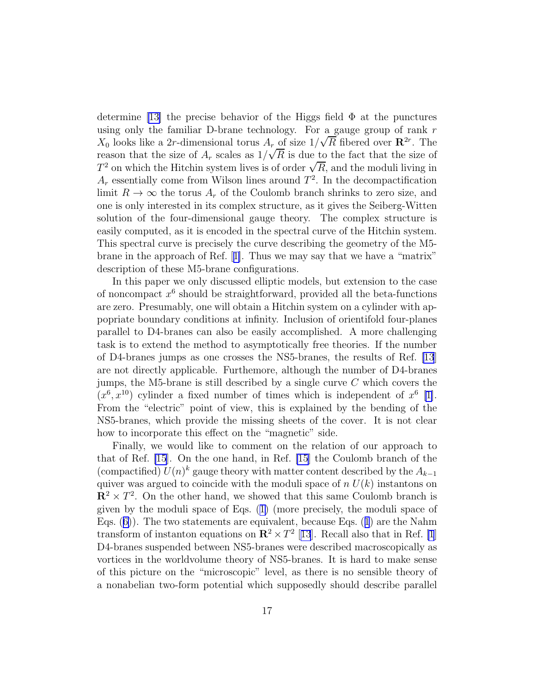determine [\[13\]](#page-19-0) the precise behavior of the Higgs field  $\Phi$  at the punctures using only the familiar D-brane technology. For a gauge group of rank  $r$  $X_0$  looks like a 2r-dimensional torus  $A_r$  of size  $1/\sqrt{R}$  fibered over  $\mathbb{R}^{2r}$ . The reason that the size of  $A_r$  scales as  $1/\sqrt{R}$  is due to the fact that the size of The same of  $H_r$  search as  $T/\sqrt{t}$  is also the fact that the size of  $T^2$  on which the Hitchin system lives is of order  $\sqrt{R}$ , and the moduli living in  $A_r$  essentially come from Wilson lines around  $T^2$ . In the decompactification limit  $R \to \infty$  the torus  $A_r$  of the Coulomb branch shrinks to zero size, and one is only interested in its complex structure, as it gives the Seiberg-Witten solution of the four-dimensional gauge theory. The complex structure is easily computed, as it is encoded in the spectral curve of the Hitchin system. This spectral curve is precisely the curve describing the geometry of the M5 brane in the approach of Ref.[[1\]](#page-18-0). Thus we may say that we have a "matrix" description of these M5-brane configurations.

In this paper we only discussed elliptic models, but extension to the case of noncompact  $x^6$  should be straightforward, provided all the beta-functions are zero. Presumably, one will obtain a Hitchin system on a cylinder with appopriate boundary conditions at infinity. Inclusion of orientifold four-planes parallel to D4-branes can also be easily accomplished. A more challenging task is to extend the method to asymptotically free theories. If the number of D4-branes jumps as one crosses the NS5-branes, the results of Ref. [\[13](#page-19-0)] are not directly applicable. Furthemore, although the number of D4-branes jumps, the M5-brane is still described by a single curve  $C$  which covers the  $(x^6, x^{10})$  cylinder a fixed number of times which is independent of  $x^6$  [\[1\]](#page-18-0). From the "electric" point of view, this is explained by the bending of the NS5-branes, which provide the missing sheets of the cover. It is not clear how to incorporate this effect on the "magnetic" side.

Finally, we would like to comment on the relation of our approach to that of Ref. [\[15](#page-19-0)]. On the one hand, in Ref. [\[15](#page-19-0)] the Coulomb branch of the (compactified)  $U(n)^k$  gauge theory with matter content described by the  $A_{k-1}$ quiver was argued to coincide with the moduli space of  $n U(k)$  instantons on  $\mathbb{R}^2 \times T^2$ . On the other hand, we showed that this same Coulomb branch is given by the moduli space of Eqs.([1\)](#page-9-0) (more precisely, the moduli space of Eqs.([6\)](#page-11-0)). The two statements are equivalent, because Eqs.([1](#page-9-0)) are the Nahm transform of instanton equations on  $\mathbb{R}^2 \times T^2$  [[13](#page-19-0)]. Recall also that in Ref. [\[1](#page-18-0)] D4-branes suspended between NS5-branes were described macroscopically as vortices in the worldvolume theory of NS5-branes. It is hard to make sense of this picture on the "microscopic" level, as there is no sensible theory of a nonabelian two-form potential which supposedly should describe parallel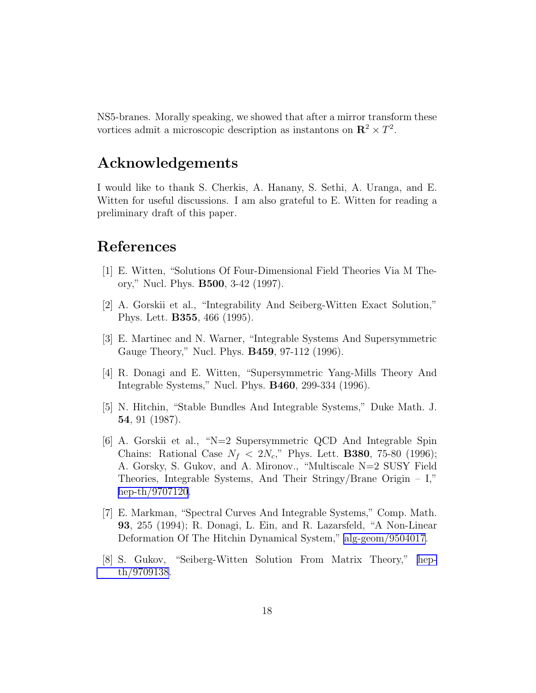<span id="page-18-0"></span>NS5-branes. Morally speaking, we showed that after a mirror transform these vortices admit a microscopic description as instantons on  $\mathbb{R}^2 \times T^2$ .

### Acknowledgements

I would like to thank S. Cherkis, A. Hanany, S. Sethi, A. Uranga, and E. Witten for useful discussions. I am also grateful to E. Witten for reading a preliminary draft of this paper.

## References

- [1] E. Witten, "Solutions Of Four-Dimensional Field Theories Via M Theory," Nucl. Phys. B500, 3-42 (1997).
- [2] A. Gorskii et al., "Integrability And Seiberg-Witten Exact Solution," Phys. Lett. B355, 466 (1995).
- [3] E. Martinec and N. Warner, "Integrable Systems And Supersymmetric Gauge Theory," Nucl. Phys. B459, 97-112 (1996).
- [4] R. Donagi and E. Witten, "Supersymmetric Yang-Mills Theory And Integrable Systems," Nucl. Phys. B460, 299-334 (1996).
- [5] N. Hitchin, "Stable Bundles And Integrable Systems," Duke Math. J. 54, 91 (1987).
- [6] A. Gorskii et al., "N=2 Supersymmetric QCD And Integrable Spin Chains: Rational Case  $N_f < 2N_c$ ," Phys. Lett. **B380**, 75-80 (1996); A. Gorsky, S. Gukov, and A. Mironov., "Multiscale N=2 SUSY Field Theories, Integrable Systems, And Their Stringy/Brane Origin – I," [hep-th/9707120](http://arxiv.org/abs/hep-th/9707120).
- [7] E. Markman, "Spectral Curves And Integrable Systems," Comp. Math. 93, 255 (1994); R. Donagi, L. Ein, and R. Lazarsfeld, "A Non-Linear Deformation Of The Hitchin Dynamical System," [alg-geom/9504017](http://arxiv.org/abs/alg-geom/9504017).
- [8] S. Gukov, "Seiberg-Witten Solution From Matrix Theory," [hep](http://arxiv.org/abs/hep-th/9709138)[th/9709138.](http://arxiv.org/abs/hep-th/9709138)